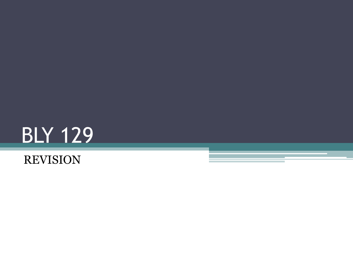

#### REVISION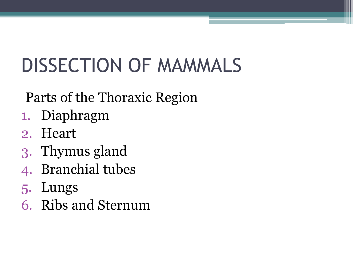# DISSECTION OF MAMMALS

#### Parts of the Thoraxic Region

- 1. Diaphragm
- 2. Heart
- 3. Thymus gland
- 4. Branchial tubes
- 5. Lungs
- 6. Ribs and Sternum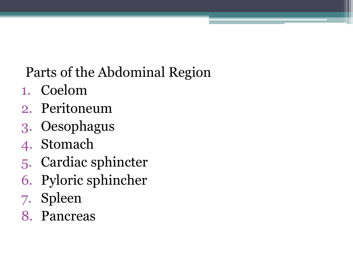### Parts of the Abdominal Region

- 1. Coelom
- 2. Peritoneum
- 3. Oesophagus
- 4. Stomach
- 5. Cardiac sphincter
- 6. Pyloric sphincher
- 7. Spleen
- 8. Pancreas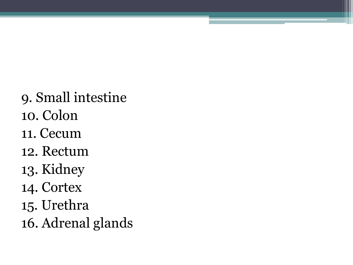- 9. Small intestine
- 10. Colon
- 11. Cecum
- 12. Rectum
- 13. Kidney
- 14. Cortex
- 15. Urethra
- 16. Adrenal glands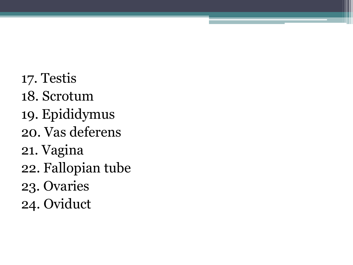- 17. Testis
- 18. Scrotum
- 19. Epididymus
- 20. Vas deferens
- 21. Vagina
- 22. Fallopian tube
- 23. Ovaries
- 24. Oviduct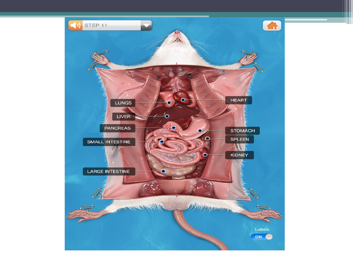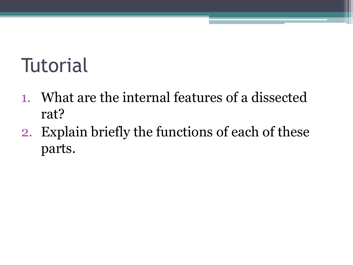### **Tutorial**

- 1. What are the internal features of a dissected rat?
- 2. Explain briefly the functions of each of these parts.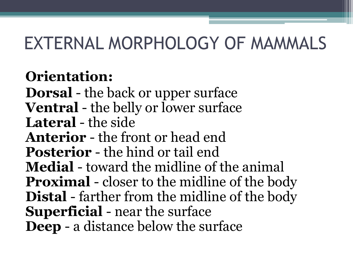### EXTERNAL MORPHOLOGY OF MAMMALS

#### **Orientation:**

**Dorsal** - the back or upper surface **Ventral** - the belly or lower surface **Lateral** - the side **Anterior** - the front or head end **Posterior** - the hind or tail end **Medial** - toward the midline of the animal **Proximal** - closer to the midline of the body **Distal** - farther from the midline of the body **Superficial** - near the surface **Deep** - a distance below the surface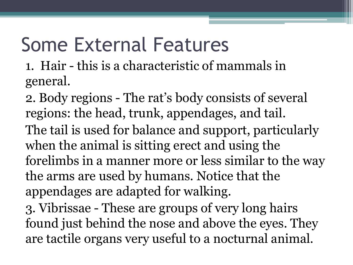### Some External Features

1. Hair - this is a characteristic of mammals in general.

2. Body regions - The rat's body consists of several regions: the head, trunk, appendages, and tail. The tail is used for balance and support, particularly when the animal is sitting erect and using the forelimbs in a manner more or less similar to the way the arms are used by humans. Notice that the appendages are adapted for walking.

3. Vibrissae - These are groups of very long hairs found just behind the nose and above the eyes. They are tactile organs very useful to a nocturnal animal.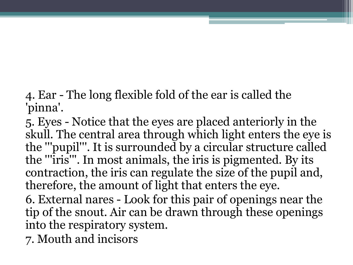4. Ear - The long flexible fold of the ear is called the 'pinna'.

5. Eyes - Notice that the eyes are placed anteriorly in the skull. The central area through which light enters the eye is the '''pupil'''. It is surrounded by a circular structure called the '''iris'''. In most animals, the iris is pigmented. By its contraction, the iris can regulate the size of the pupil and, therefore, the amount of light that enters the eye.

6. External nares - Look for this pair of openings near the tip of the snout. Air can be drawn through these openings into the respiratory system.

7. Mouth and incisors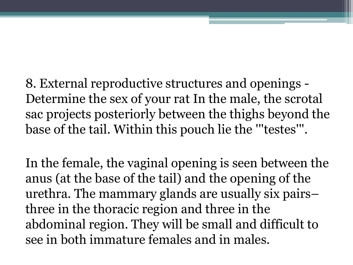8. External reproductive structures and openings - Determine the sex of your rat In the male, the scrotal sac projects posteriorly between the thighs beyond the base of the tail. Within this pouch lie the '''testes'''.

In the female, the vaginal opening is seen between the anus (at the base of the tail) and the opening of the urethra. The mammary glands are usually six pairs– three in the thoracic region and three in the abdominal region. They will be small and difficult to see in both immature females and in males.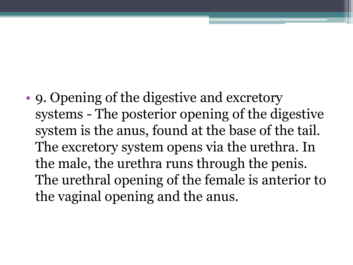• 9. Opening of the digestive and excretory systems - The posterior opening of the digestive system is the anus, found at the base of the tail. The excretory system opens via the urethra. In the male, the urethra runs through the penis. The urethral opening of the female is anterior to the vaginal opening and the anus.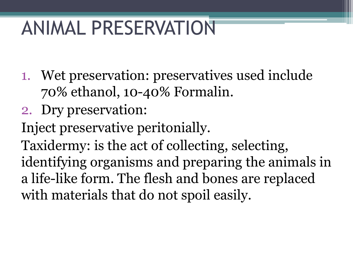### ANIMAL PRESERVATION

- 1. Wet preservation: preservatives used include 70% ethanol, 10-40% Formalin.
- 2. Dry preservation:
- Inject preservative peritonially.

Taxidermy: is the act of collecting, selecting, identifying organisms and preparing the animals in a life-like form. The flesh and bones are replaced with materials that do not spoil easily.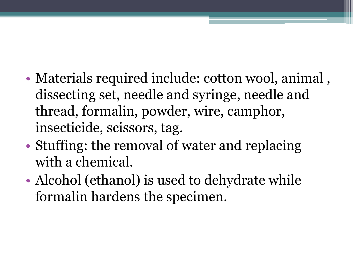- Materials required include: cotton wool, animal, dissecting set, needle and syringe, needle and thread, formalin, powder, wire, camphor, insecticide, scissors, tag.
- Stuffing: the removal of water and replacing with a chemical.
- Alcohol (ethanol) is used to dehydrate while formalin hardens the specimen.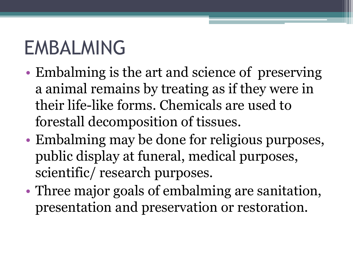# EMBALMING

- Embalming is the art and science of preserving a animal remains by treating as if they were in their life-like forms. Chemicals are used to forestall decomposition of tissues.
- Embalming may be done for religious purposes, public display at funeral, medical purposes, scientific/ research purposes.
- Three major goals of embalming are sanitation, presentation and preservation or restoration.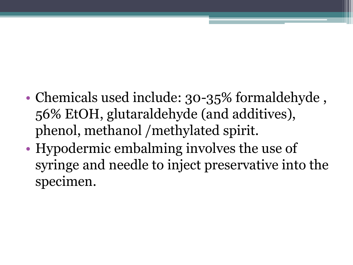- Chemicals used include: 30-35% formaldehyde, 56% EtOH, glutaraldehyde (and additives), phenol, methanol /methylated spirit.
- Hypodermic embalming involves the use of syringe and needle to inject preservative into the specimen.